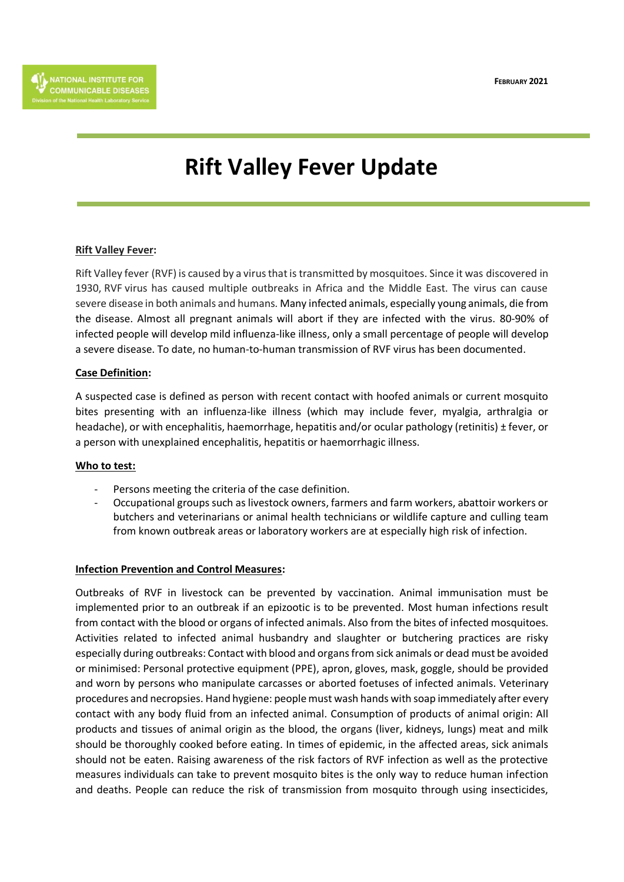**FEBRUARY 2021**

# **Rift Valley Fever Update**

#### **Rift Valley Fever:**

Rift Valley fever (RVF) is caused by a virus that is transmitted by mosquitoes. Since it was discovered in 1930, RVF virus has caused multiple outbreaks in Africa and the Middle East. The virus can cause severe disease in both animals and humans. Many infected animals, especially young animals, die from the disease. Almost all pregnant animals will abort if they are infected with the virus. 80-90% of infected people will develop mild influenza-like illness, only a small percentage of people will develop a severe disease. To date, no human-to-human transmission of RVF virus has been documented.

## **Case Definition:**

A suspected case is defined as person with recent contact with hoofed animals or current mosquito bites presenting with an influenza-like illness (which may include fever, myalgia, arthralgia or headache), or with encephalitis, haemorrhage, hepatitis and/or ocular pathology (retinitis) ± fever, or a person with unexplained encephalitis, hepatitis or haemorrhagic illness.

#### **Who to test:**

- Persons meeting the criteria of the case definition.
- Occupational groups such as livestock owners, farmers and farm workers, abattoir workers or butchers and veterinarians or animal health technicians or wildlife capture and culling team from known outbreak areas or laboratory workers are at especially high risk of infection.

#### **Infection Prevention and Control Measures:**

Outbreaks of RVF in livestock can be prevented by vaccination. Animal immunisation must be implemented prior to an outbreak if an epizootic is to be prevented. Most human infections result from contact with the blood or organs of infected animals. Also from the bites of infected mosquitoes. Activities related to infected animal husbandry and slaughter or butchering practices are risky especially during outbreaks: Contact with blood and organs from sick animals or dead must be avoided or minimised: Personal protective equipment (PPE), apron, gloves, mask, goggle, should be provided and worn by persons who manipulate carcasses or aborted foetuses of infected animals. Veterinary procedures and necropsies. Hand hygiene: people must wash hands with soap immediately after every contact with any body fluid from an infected animal. Consumption of products of animal origin: All products and tissues of animal origin as the blood, the organs (liver, kidneys, lungs) meat and milk should be thoroughly cooked before eating. In times of epidemic, in the affected areas, sick animals should not be eaten. Raising awareness of the risk factors of RVF infection as well as the protective measures individuals can take to prevent mosquito bites is the only way to reduce human infection and deaths. People can reduce the risk of transmission from mosquito through using insecticides,